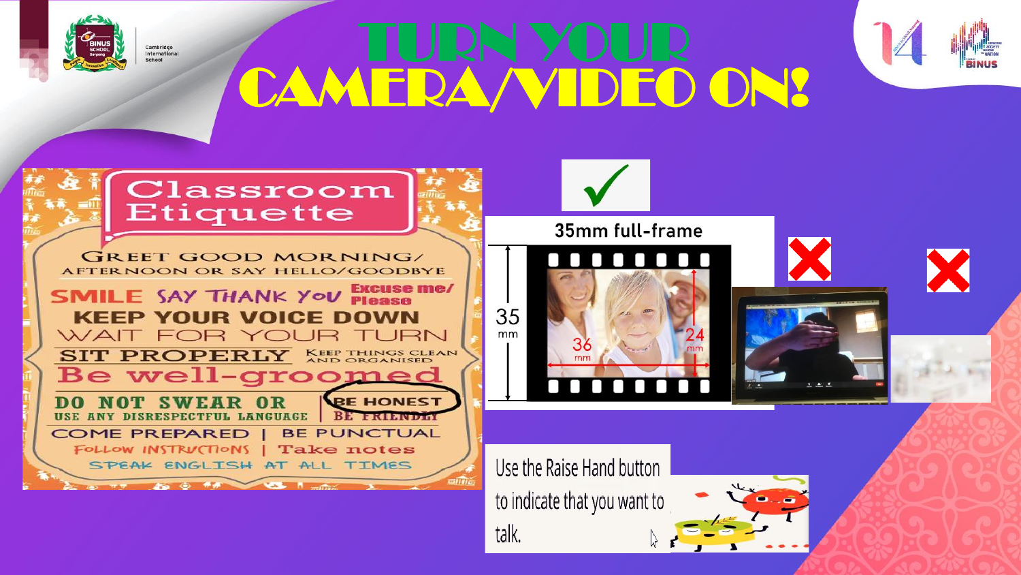

Cambridge<br>International ahoo!

CAMERA/VIDEO ON!



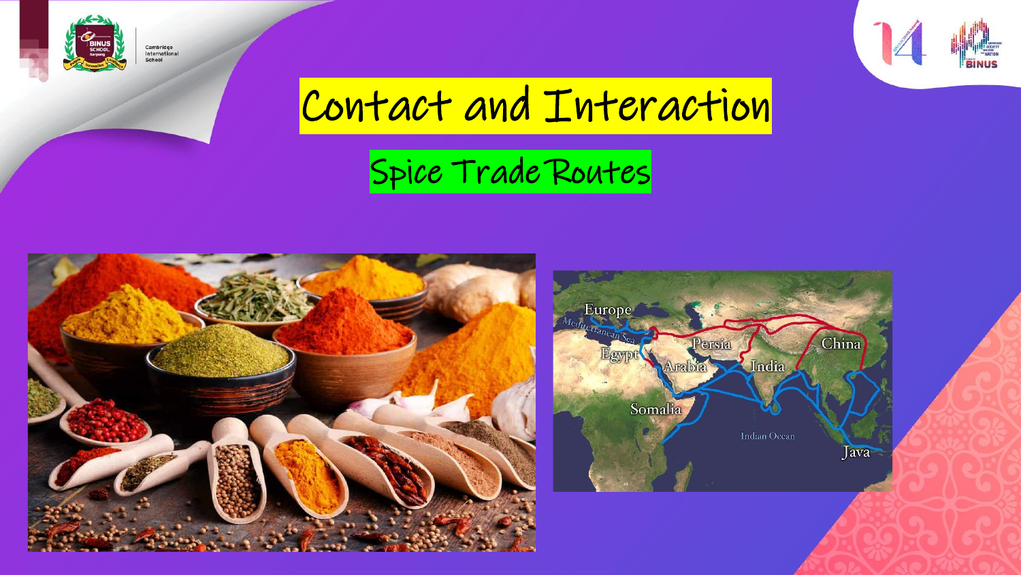

Cambridge<br>International<br>School



# Contact and Interaction

### Spice Trade Routes



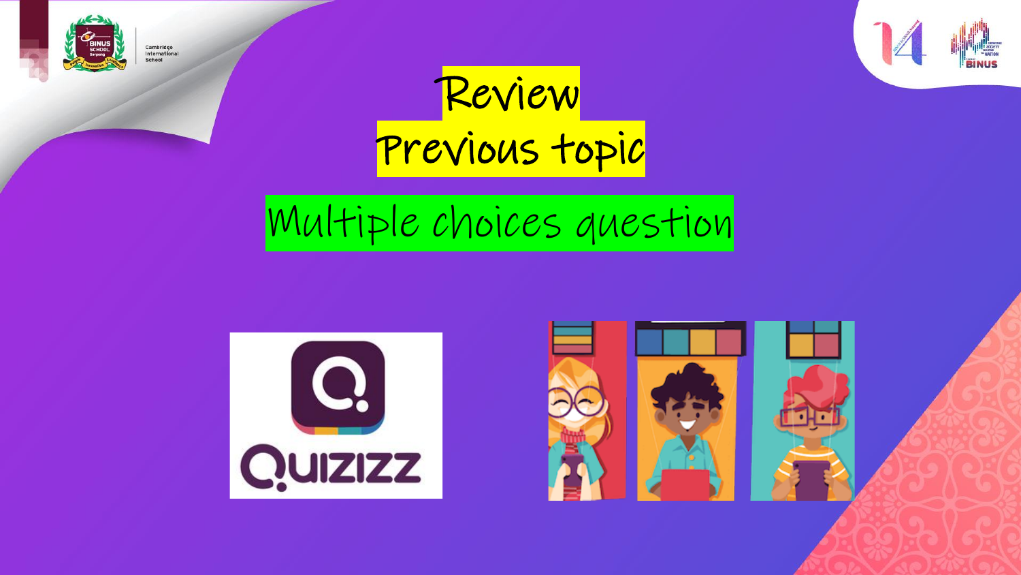

Cambridge<br>International<br>School



Review Previous topic

# Multiple choices question



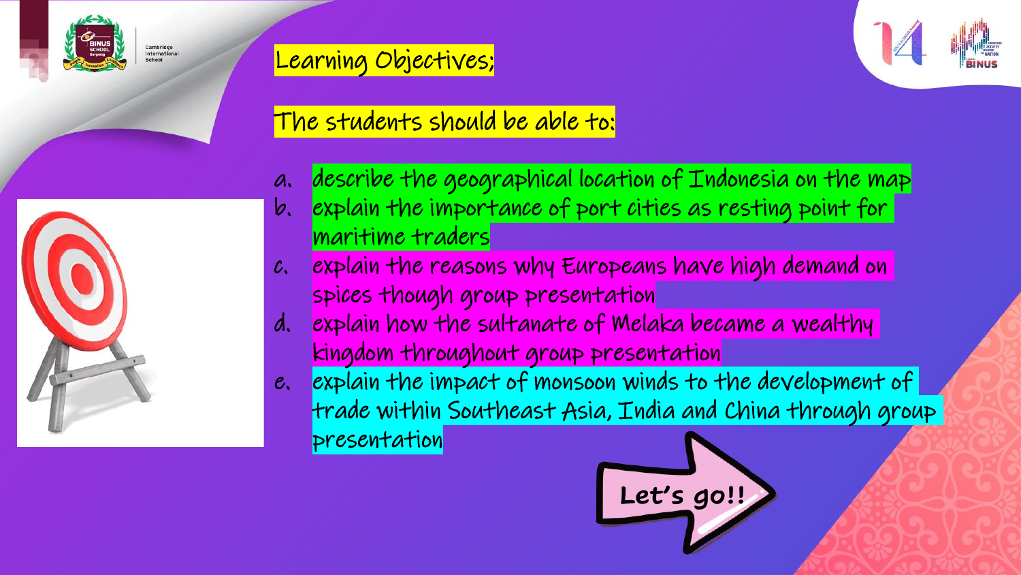

Cambridge<br>International

Learning Objectives;



#### The students should be able to:

- a. describe the geographical location of Indonesia on the map
- b. explain the importance of port cities as resting point for maritime traders
- c. explain the reasons why Europeans have high demand on spices though group presentation
- d. explain how the sultanate of Melaka became a wealthy kingdom throughout group presentation
- e. explain the impact of monsoon winds to the development of trade within Southeast Asia, India and China through group presentation



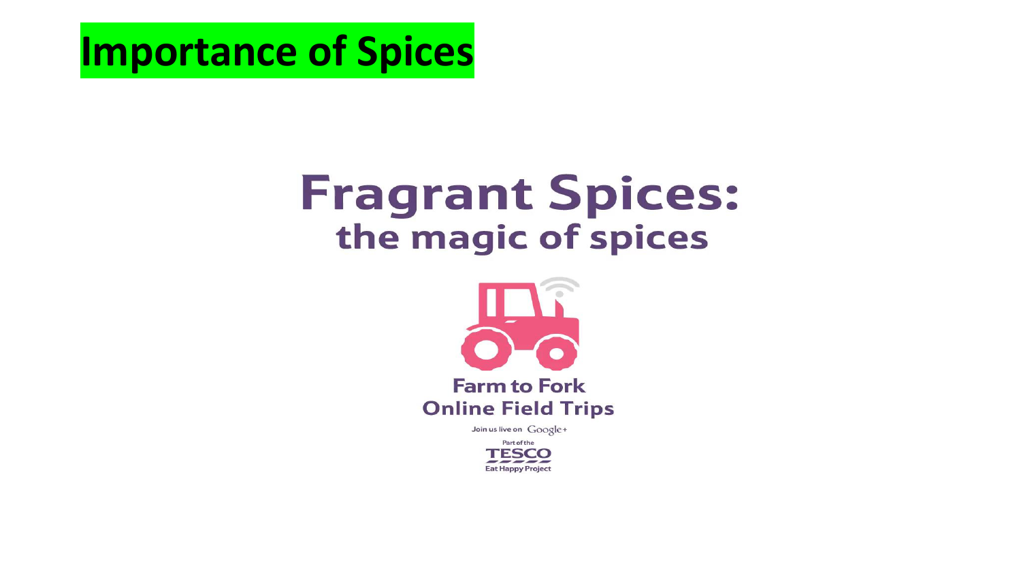**Importance of Spices**

### **Fragrant Spices:** the magic of spices



Join us live on Google+

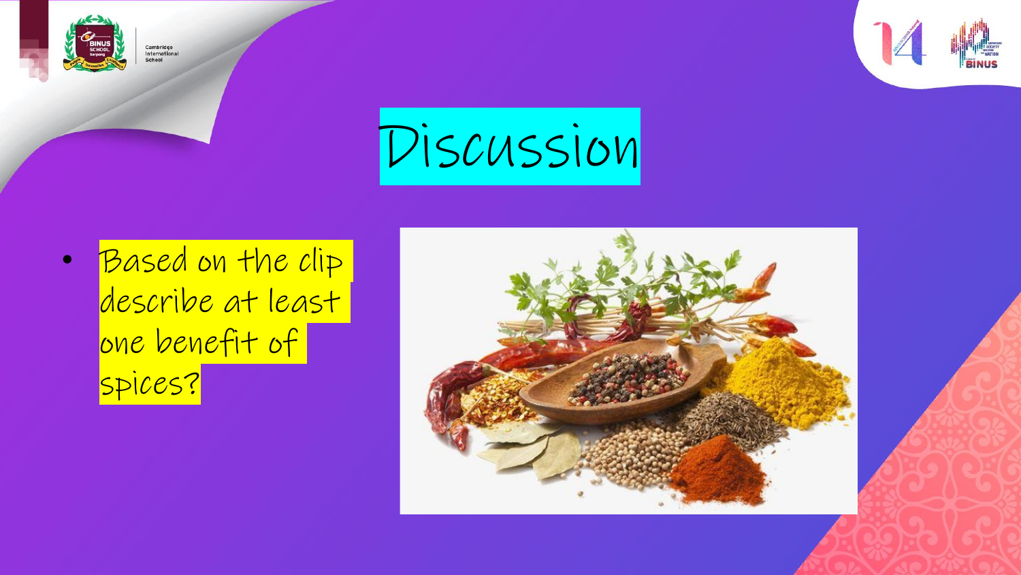







• Based on the clip describe at least one benefit of spices?